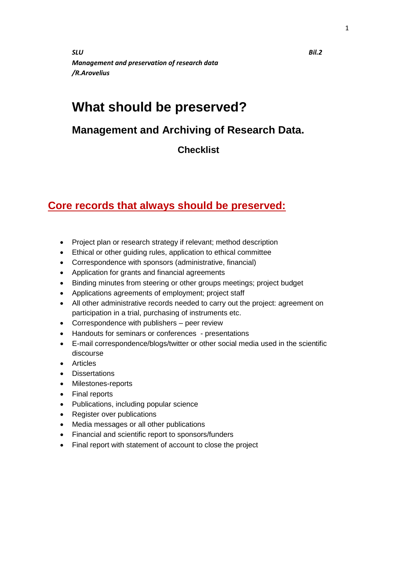*SLU Bil.2 Management and preservation of research data /R.Arovelius*

## **What should be preserved?**

## **Management and Archiving of Research Data.**

**Checklist** 

## **Core records that always should be preserved:**

- Project plan or research strategy if relevant; method description
- Ethical or other guiding rules, application to ethical committee
- Correspondence with sponsors (administrative, financial)
- Application for grants and financial agreements
- Binding minutes from steering or other groups meetings; project budget
- Applications agreements of employment; project staff
- All other administrative records needed to carry out the project: agreement on participation in a trial, purchasing of instruments etc.
- Correspondence with publishers peer review
- Handouts for seminars or conferences presentations
- E-mail correspondence/blogs/twitter or other social media used in the scientific discourse
- Articles
- Dissertations
- Milestones-reports
- Final reports
- Publications, including popular science
- Register over publications
- Media messages or all other publications
- Financial and scientific report to sponsors/funders
- Final report with statement of account to close the project